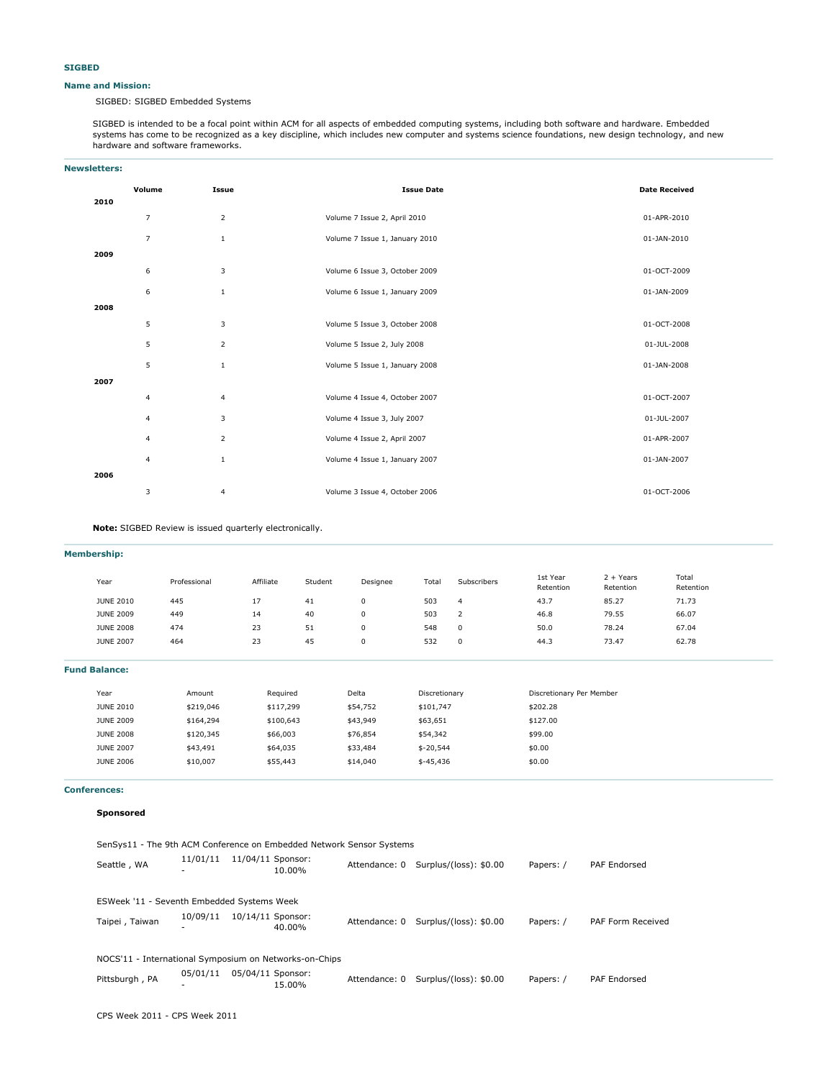#### **Name and Mission:**

SIGBED: SIGBED Embedded Systems

SIGBED is intended to be a focal point within ACM for all aspects of embedded computing systems, including both software and hardware. Embedded systems has come to be recognized as a key discipline, which includes new computer and systems science foundations, new design technology, and new hardware and software frameworks.

| <b>Newsletters:</b> |                |                |                                |                      |
|---------------------|----------------|----------------|--------------------------------|----------------------|
|                     | Volume         | Issue          | <b>Issue Date</b>              | <b>Date Received</b> |
| 2010                |                |                |                                |                      |
|                     | $\overline{7}$ | $\overline{2}$ | Volume 7 Issue 2, April 2010   | 01-APR-2010          |
|                     | $\overline{7}$ | $\mathbf{1}$   | Volume 7 Issue 1, January 2010 | 01-JAN-2010          |
| 2009                |                |                |                                |                      |
|                     | 6              | 3              | Volume 6 Issue 3, October 2009 | 01-OCT-2009          |
|                     | 6              | $\mathbf{1}$   | Volume 6 Issue 1, January 2009 | 01-JAN-2009          |
| 2008                |                |                |                                |                      |
|                     | 5              | 3              | Volume 5 Issue 3, October 2008 | 01-OCT-2008          |
|                     | 5              | $\overline{2}$ | Volume 5 Issue 2, July 2008    | 01-JUL-2008          |
|                     | 5              | $\mathbf{1}$   | Volume 5 Issue 1, January 2008 | 01-JAN-2008          |
| 2007                |                |                |                                |                      |
|                     | $\overline{4}$ | $\overline{4}$ | Volume 4 Issue 4, October 2007 | 01-OCT-2007          |
|                     | $\overline{4}$ | 3              | Volume 4 Issue 3, July 2007    | 01-JUL-2007          |
|                     | $\overline{4}$ | $\mathbf 2$    | Volume 4 Issue 2, April 2007   | 01-APR-2007          |
|                     | $\overline{4}$ | $\mathbf{1}$   | Volume 4 Issue 1, January 2007 | 01-JAN-2007          |
| 2006                |                |                |                                |                      |
|                     | 3              | 4              | Volume 3 Issue 4, October 2006 | 01-OCT-2006          |

**Note:** SIGBED Review is issued quarterly electronically.

| <b>Membership:</b>   |              |           |         |          |               |                |                          |                          |                    |  |
|----------------------|--------------|-----------|---------|----------|---------------|----------------|--------------------------|--------------------------|--------------------|--|
| Year                 | Professional | Affiliate | Student | Designee | Total         | Subscribers    | 1st Year<br>Retention    | $2 + Years$<br>Retention | Total<br>Retention |  |
| <b>JUNE 2010</b>     | 445          | 17        | 41      | 0        | 503           | $\overline{4}$ | 43.7                     | 85.27                    | 71.73              |  |
| <b>JUNE 2009</b>     | 449          | 14        | 40      | 0        | 503           | 2              | 46.8                     | 79.55                    | 66.07              |  |
| <b>JUNE 2008</b>     | 474          | 23        | 51      | 0        | 548           | 0              | 50.0                     | 78.24                    | 67.04              |  |
| <b>JUNE 2007</b>     | 464          | 23        | 45      | 0        | 532           | 0              | 44.3                     | 73.47                    | 62.78              |  |
| <b>Fund Balance:</b> |              |           |         |          |               |                |                          |                          |                    |  |
| Year                 | Amount       | Required  |         | Delta    | Discretionary |                | Discretionary Per Member |                          |                    |  |
| <b>JUNE 2010</b>     | \$219,046    | \$117,299 |         | \$54,752 | \$101,747     |                | \$202.28                 |                          |                    |  |

| <b>JUNE 2010</b> | \$219,046 | \$117,299 | \$54,752 | \$101,747  | \$202.28 |
|------------------|-----------|-----------|----------|------------|----------|
| <b>JUNE 2009</b> | \$164,294 | \$100,643 | \$43,949 | \$63,651   | \$127.00 |
| <b>JUNE 2008</b> | \$120,345 | \$66,003  | \$76,854 | \$54,342   | \$99.00  |
| <b>JUNE 2007</b> | \$43,491  | \$64,035  | \$33,484 | $$-20,544$ | \$0.00   |
| <b>JUNE 2006</b> | \$10,007  | \$55,443  | \$14,040 | $$-45,436$ | \$0.00   |
|                  |           |           |          |            |          |

#### **Conferences:**

```
Sponsored
```
SenSys11 - The 9th ACM Conference on Embedded Network Sensor Systems Seattle, WA - 11/01/11 11/04/11 Sponsor:<br>- 10.00% Attendance: 0 Surplus/(loss): \$0.00 Papers: / PAF Endorsed ESWeek '11 - Seventh Embedded Systems Week Taipei, Taiwan - 10/09/11 10/14/11 Sponsor:<br>- 40.00% Attendance: 0 Surplus/(loss): \$0.00 Papers: / PAF Form Received NOCS'11 - International Symposium on Networks-on-Chips Pittsburgh, PA - 05/04/11 Sponsor: 15.00% Attendance: 0 Surplus/(loss): \$0.00 Papers: / PAF Endorsed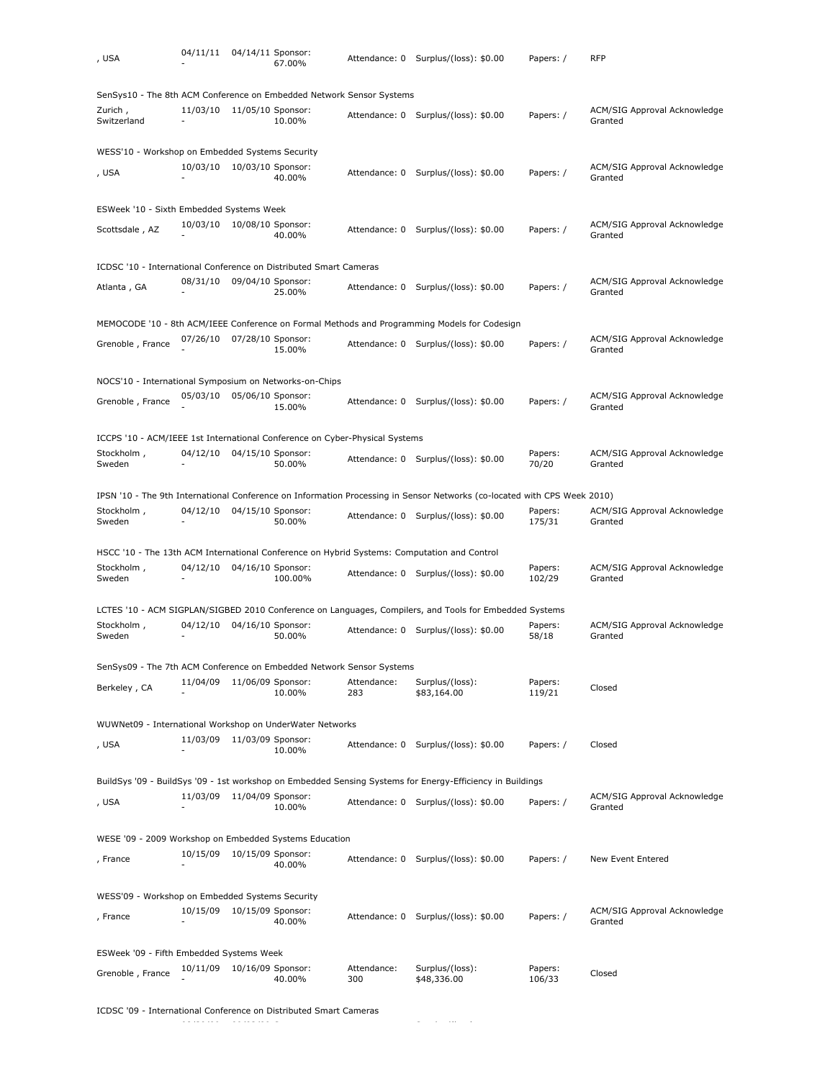| , USA                                                                       | 04/11/11 | 04/14/11 Sponsor: | 67.00%  |                    | Attendance: 0 Surplus/(loss): \$0.00                                                                                     | Papers: /         | <b>RFP</b>                              |
|-----------------------------------------------------------------------------|----------|-------------------|---------|--------------------|--------------------------------------------------------------------------------------------------------------------------|-------------------|-----------------------------------------|
| SenSys10 - The 8th ACM Conference on Embedded Network Sensor Systems        |          |                   |         |                    |                                                                                                                          |                   |                                         |
| Zurich,<br>Switzerland                                                      | 11/03/10 | 11/05/10 Sponsor: | 10.00%  |                    | Attendance: 0 Surplus/(loss): \$0.00                                                                                     | Papers: /         | ACM/SIG Approval Acknowledge<br>Granted |
| WESS'10 - Workshop on Embedded Systems Security                             |          |                   |         |                    |                                                                                                                          |                   |                                         |
| , USA                                                                       | 10/03/10 | 10/03/10 Sponsor: | 40.00%  | Attendance: 0      | Surplus/(loss): \$0.00                                                                                                   | Papers: /         | ACM/SIG Approval Acknowledge<br>Granted |
| ESWeek '10 - Sixth Embedded Systems Week                                    |          |                   |         |                    |                                                                                                                          |                   |                                         |
| Scottsdale, AZ                                                              | 10/03/10 | 10/08/10 Sponsor: | 40.00%  |                    | Attendance: 0 Surplus/(loss): \$0.00                                                                                     | Papers: /         | ACM/SIG Approval Acknowledge<br>Granted |
| ICDSC '10 - International Conference on Distributed Smart Cameras           |          |                   |         |                    |                                                                                                                          |                   |                                         |
| Atlanta, GA                                                                 | 08/31/10 | 09/04/10 Sponsor: | 25.00%  | Attendance: 0      | Surplus/(loss): \$0.00                                                                                                   | Papers: /         | ACM/SIG Approval Acknowledge<br>Granted |
|                                                                             |          |                   |         |                    | MEMOCODE '10 - 8th ACM/IEEE Conference on Formal Methods and Programming Models for Codesign                             |                   |                                         |
| Grenoble, France                                                            | 07/26/10 | 07/28/10 Sponsor: | 15.00%  |                    | Attendance: 0 Surplus/(loss): \$0.00                                                                                     | Papers: /         | ACM/SIG Approval Acknowledge<br>Granted |
| NOCS'10 - International Symposium on Networks-on-Chips                      |          |                   |         |                    |                                                                                                                          |                   |                                         |
| Grenoble, France                                                            | 05/03/10 | 05/06/10 Sponsor: | 15.00%  |                    | Attendance: 0 Surplus/(loss): \$0.00                                                                                     | Papers: /         | ACM/SIG Approval Acknowledge<br>Granted |
| ICCPS '10 - ACM/IEEE 1st International Conference on Cyber-Physical Systems |          |                   |         |                    |                                                                                                                          |                   |                                         |
| Stockholm,<br>Sweden                                                        | 04/12/10 | 04/15/10 Sponsor: | 50.00%  |                    | Attendance: 0 Surplus/(loss): \$0.00                                                                                     | Papers:<br>70/20  | ACM/SIG Approval Acknowledge<br>Granted |
|                                                                             |          |                   |         |                    | IPSN '10 - The 9th International Conference on Information Processing in Sensor Networks (co-located with CPS Week 2010) |                   |                                         |
| Stockholm,<br>Sweden                                                        | 04/12/10 | 04/15/10 Sponsor: | 50.00%  |                    | Attendance: 0 Surplus/(loss): \$0.00                                                                                     | Papers:<br>175/31 | ACM/SIG Approval Acknowledge<br>Granted |
|                                                                             |          |                   |         |                    | HSCC '10 - The 13th ACM International Conference on Hybrid Systems: Computation and Control                              |                   |                                         |
| Stockholm,<br>Sweden                                                        | 04/12/10 | 04/16/10 Sponsor: | 100.00% |                    | Attendance: 0 Surplus/(loss): \$0.00                                                                                     | Papers:<br>102/29 | ACM/SIG Approval Acknowledge<br>Granted |
|                                                                             |          |                   |         |                    | LCTES '10 - ACM SIGPLAN/SIGBED 2010 Conference on Languages, Compilers, and Tools for Embedded Systems                   |                   |                                         |
| Stockholm,<br>Sweden                                                        | 04/12/10 | 04/16/10 Sponsor: | 50.00%  |                    | Attendance: 0 Surplus/(loss): \$0.00                                                                                     | Papers:<br>58/18  | ACM/SIG Approval Acknowledge<br>Granted |
| SenSys09 - The 7th ACM Conference on Embedded Network Sensor Systems        |          |                   |         |                    |                                                                                                                          |                   |                                         |
| Berkeley, CA                                                                | 11/04/09 | 11/06/09 Sponsor: | 10.00%  | Attendance:<br>283 | Surplus/(loss):<br>\$83,164.00                                                                                           | Papers:<br>119/21 | Closed                                  |
| WUWNet09 - International Workshop on UnderWater Networks                    |          |                   |         |                    |                                                                                                                          |                   |                                         |
| , USA                                                                       | 11/03/09 | 11/03/09 Sponsor: | 10.00%  |                    | Attendance: 0 Surplus/(loss): \$0.00                                                                                     | Papers: /         | Closed                                  |
|                                                                             |          |                   |         |                    | BuildSys '09 - BuildSys '09 - 1st workshop on Embedded Sensing Systems for Energy-Efficiency in Buildings                |                   |                                         |
| , USA                                                                       | 11/03/09 | 11/04/09 Sponsor: | 10.00%  |                    | Attendance: 0 Surplus/(loss): \$0.00                                                                                     | Papers: /         | ACM/SIG Approval Acknowledge<br>Granted |
| WESE '09 - 2009 Workshop on Embedded Systems Education                      |          |                   |         |                    |                                                                                                                          |                   |                                         |
| , France                                                                    | 10/15/09 | 10/15/09 Sponsor: | 40.00%  |                    | Attendance: 0 Surplus/(loss): \$0.00                                                                                     | Papers: /         | New Event Entered                       |
| WESS'09 - Workshop on Embedded Systems Security                             |          |                   |         |                    |                                                                                                                          |                   |                                         |
|                                                                             | 10/15/09 | 10/15/09 Sponsor: |         |                    | Attendance: 0 Surplus/(loss): \$0.00                                                                                     | Papers: /         | ACM/SIG Approval Acknowledge            |
| , France                                                                    |          |                   | 40.00%  |                    |                                                                                                                          |                   | Granted                                 |
| ESWeek '09 - Fifth Embedded Systems Week                                    |          |                   |         |                    |                                                                                                                          |                   |                                         |
| Grenoble, France                                                            | 10/11/09 | 10/16/09 Sponsor: | 40.00%  | Attendance:<br>300 | Surplus/(loss):<br>\$48,336.00                                                                                           | Papers:<br>106/33 | Closed                                  |

ICDSC '09 - International Conference on Distributed Smart Cameras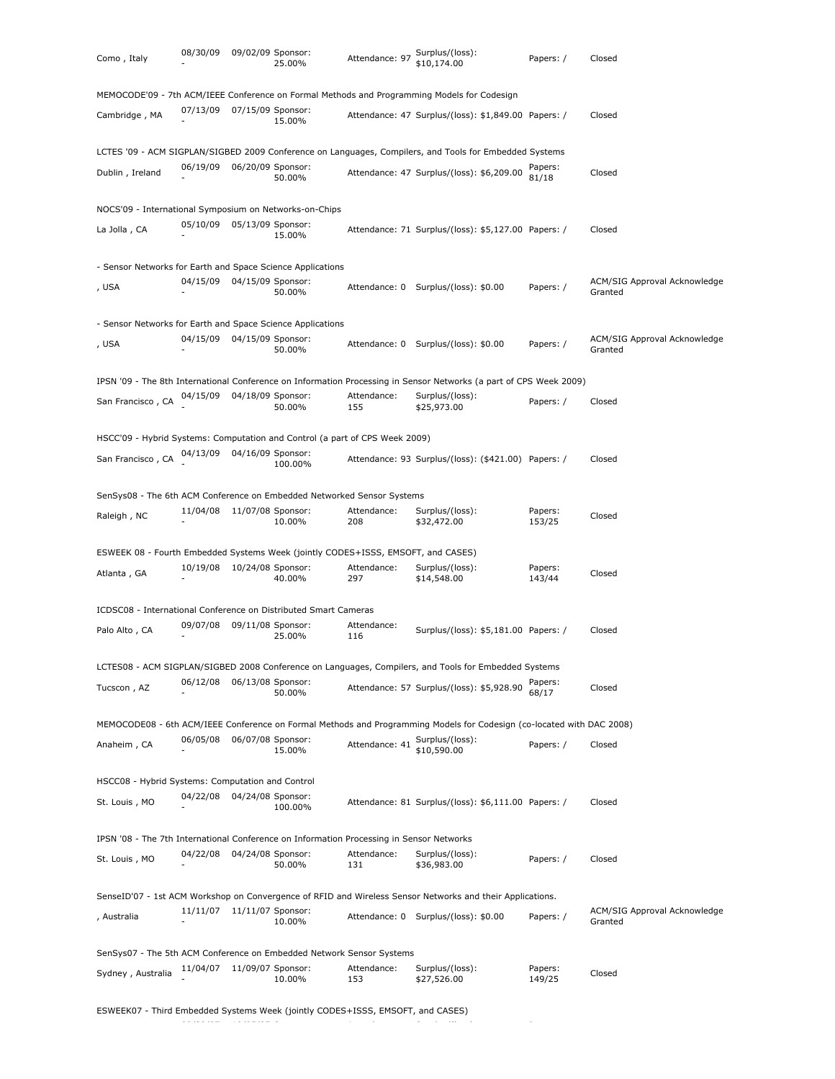| Como, Italy                                                                              | 08/30/09 | 09/02/09 Sponsor: | 25.00%  | Attendance: 97     | Surplus/(loss):<br>\$10,174.00                                                                                        | Papers: /         | Closed                                  |
|------------------------------------------------------------------------------------------|----------|-------------------|---------|--------------------|-----------------------------------------------------------------------------------------------------------------------|-------------------|-----------------------------------------|
|                                                                                          |          |                   |         |                    | MEMOCODE'09 - 7th ACM/IEEE Conference on Formal Methods and Programming Models for Codesign                           |                   |                                         |
| Cambridge, MA                                                                            | 07/13/09 | 07/15/09 Sponsor: | 15.00%  |                    | Attendance: 47 Surplus/(loss): \$1,849.00 Papers: /                                                                   |                   | Closed                                  |
|                                                                                          |          |                   |         |                    | LCTES '09 - ACM SIGPLAN/SIGBED 2009 Conference on Languages, Compilers, and Tools for Embedded Systems                |                   |                                         |
| Dublin, Ireland                                                                          | 06/19/09 | 06/20/09 Sponsor: | 50.00%  |                    | Attendance: 47 Surplus/(loss): \$6,209.00                                                                             | Papers:<br>81/18  | Closed                                  |
| NOCS'09 - International Symposium on Networks-on-Chips                                   |          |                   |         |                    |                                                                                                                       |                   |                                         |
| La Jolla, CA                                                                             | 05/10/09 | 05/13/09 Sponsor: | 15.00%  |                    | Attendance: 71 Surplus/(loss): \$5,127.00 Papers: /                                                                   |                   | Closed                                  |
| - Sensor Networks for Earth and Space Science Applications                               |          |                   |         |                    |                                                                                                                       |                   |                                         |
| , USA                                                                                    | 04/15/09 | 04/15/09 Sponsor: | 50.00%  |                    | Attendance: 0 Surplus/(loss): \$0.00                                                                                  | Papers: /         | ACM/SIG Approval Acknowledge<br>Granted |
| - Sensor Networks for Earth and Space Science Applications                               |          |                   |         |                    |                                                                                                                       |                   |                                         |
| , USA                                                                                    | 04/15/09 | 04/15/09 Sponsor: | 50.00%  |                    | Attendance: 0 Surplus/(loss): \$0.00                                                                                  | Papers: /         | ACM/SIG Approval Acknowledge<br>Granted |
|                                                                                          |          |                   |         |                    | IPSN '09 - The 8th International Conference on Information Processing in Sensor Networks (a part of CPS Week 2009)    |                   |                                         |
| San Francisco, CA                                                                        | 04/15/09 | 04/18/09 Sponsor: | 50.00%  | Attendance:<br>155 | Surplus/(loss):<br>\$25,973.00                                                                                        | Papers: /         | Closed                                  |
| HSCC'09 - Hybrid Systems: Computation and Control (a part of CPS Week 2009)              |          |                   |         |                    |                                                                                                                       |                   |                                         |
| San Francisco, CA                                                                        | 04/13/09 | 04/16/09 Sponsor: | 100.00% |                    | Attendance: 93 Surplus/(loss): (\$421.00) Papers: /                                                                   |                   | Closed                                  |
| SenSys08 - The 6th ACM Conference on Embedded Networked Sensor Systems                   |          |                   |         |                    |                                                                                                                       |                   |                                         |
| Raleigh, NC                                                                              | 11/04/08 | 11/07/08 Sponsor: | 10.00%  | Attendance:<br>208 | Surplus/(loss):<br>\$32,472.00                                                                                        | Papers:<br>153/25 | Closed                                  |
| ESWEEK 08 - Fourth Embedded Systems Week (jointly CODES+ISSS, EMSOFT, and CASES)         |          |                   |         |                    |                                                                                                                       |                   |                                         |
| Atlanta, GA                                                                              | 10/19/08 | 10/24/08 Sponsor: | 40.00%  | Attendance:<br>297 | Surplus/(loss):<br>\$14,548.00                                                                                        | Papers:<br>143/44 | Closed                                  |
| ICDSC08 - International Conference on Distributed Smart Cameras                          |          |                   |         |                    |                                                                                                                       |                   |                                         |
| Palo Alto, CA                                                                            | 09/07/08 | 09/11/08 Sponsor: | 25.00%  | Attendance:<br>116 | Surplus/(loss): \$5,181.00 Papers: /                                                                                  |                   | Closed                                  |
|                                                                                          |          |                   |         |                    | LCTES08 - ACM SIGPLAN/SIGBED 2008 Conference on Languages, Compilers, and Tools for Embedded Systems                  |                   |                                         |
| Tucscon, AZ                                                                              | 06/12/08 | 06/13/08 Sponsor: | 50.00%  |                    | Attendance: 57 Surplus/(loss): \$5,928.90                                                                             | Papers:<br>68/17  | Closed                                  |
|                                                                                          |          |                   |         |                    | MEMOCODE08 - 6th ACM/IEEE Conference on Formal Methods and Programming Models for Codesign (co-located with DAC 2008) |                   |                                         |
| Anaheim, CA                                                                              | 06/05/08 | 06/07/08 Sponsor: | 15.00%  | Attendance: 41     | Surplus/(loss):<br>\$10,590.00                                                                                        | Papers: /         | Closed                                  |
| HSCC08 - Hybrid Systems: Computation and Control                                         |          |                   |         |                    |                                                                                                                       |                   |                                         |
| St. Louis, MO                                                                            | 04/22/08 | 04/24/08 Sponsor: | 100.00% |                    | Attendance: 81 Surplus/(loss): \$6,111.00 Papers: /                                                                   |                   | Closed                                  |
| IPSN '08 - The 7th International Conference on Information Processing in Sensor Networks |          |                   |         |                    |                                                                                                                       |                   |                                         |
| St. Louis, MO                                                                            | 04/22/08 | 04/24/08 Sponsor: | 50.00%  | Attendance:<br>131 | Surplus/(loss):<br>\$36,983.00                                                                                        | Papers: /         | Closed                                  |
|                                                                                          |          |                   |         |                    | SenseID'07 - 1st ACM Workshop on Convergence of RFID and Wireless Sensor Networks and their Applications.             |                   |                                         |
| , Australia                                                                              | 11/11/07 | 11/11/07 Sponsor: | 10.00%  |                    | Attendance: 0 Surplus/(loss): \$0.00                                                                                  | Papers: /         | ACM/SIG Approval Acknowledge<br>Granted |
| SenSys07 - The 5th ACM Conference on Embedded Network Sensor Systems                     |          |                   |         |                    |                                                                                                                       |                   |                                         |
| Sydney, Australia                                                                        | 11/04/07 | 11/09/07 Sponsor: | 10.00%  | Attendance:<br>153 | Surplus/(loss):<br>\$27,526.00                                                                                        | Papers:<br>149/25 | Closed                                  |

ESWEEK07 - Third Embedded Systems Week (jointly CODES+ISSS, EMSOFT, and CASES)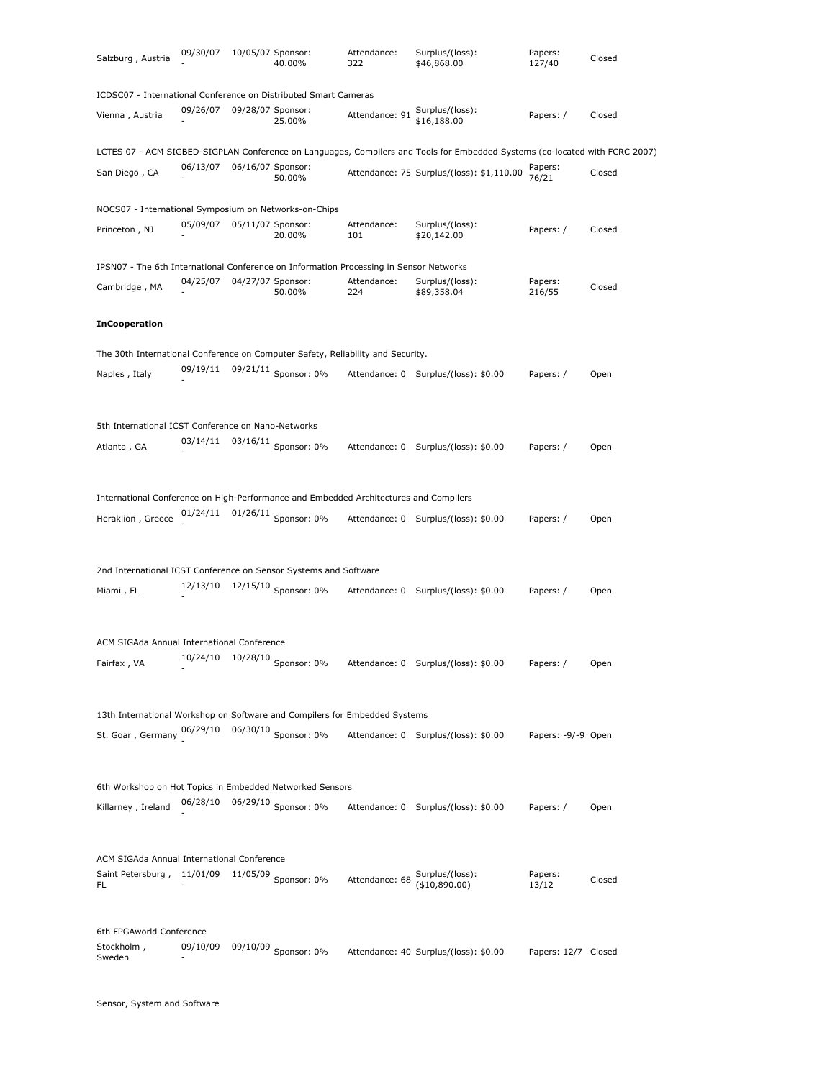| Salzburg, Austria                                                                      | 09/30/07                   | 10/05/07 Sponsor: | 40.00%                          | Attendance:<br>322                              | Surplus/(loss):<br>\$46,868.00                                                                                              | Papers:<br>127/40   | Closed |
|----------------------------------------------------------------------------------------|----------------------------|-------------------|---------------------------------|-------------------------------------------------|-----------------------------------------------------------------------------------------------------------------------------|---------------------|--------|
| ICDSC07 - International Conference on Distributed Smart Cameras                        |                            |                   |                                 |                                                 |                                                                                                                             |                     |        |
| Vienna, Austria                                                                        | 09/26/07                   | 09/28/07 Sponsor: | 25.00%                          | Attendance: 91                                  | Surplus/(loss):<br>\$16,188.00                                                                                              | Papers: /           | Closed |
|                                                                                        |                            |                   |                                 |                                                 | LCTES 07 - ACM SIGBED-SIGPLAN Conference on Languages, Compilers and Tools for Embedded Systems (co-located with FCRC 2007) |                     |        |
| San Diego, CA                                                                          | 06/13/07                   | 06/16/07 Sponsor: | 50.00%                          |                                                 | Attendance: 75 Surplus/(loss): \$1,110.00                                                                                   | Papers:<br>76/21    | Closed |
| NOCS07 - International Symposium on Networks-on-Chips                                  |                            |                   |                                 |                                                 |                                                                                                                             |                     |        |
| Princeton, NJ                                                                          | 05/09/07 05/11/07 Sponsor: |                   | 20.00%                          | Attendance:<br>101                              | Surplus/(loss):<br>\$20,142.00                                                                                              | Papers: /           | Closed |
| IPSN07 - The 6th International Conference on Information Processing in Sensor Networks |                            |                   |                                 |                                                 |                                                                                                                             |                     |        |
| Cambridge, MA                                                                          | 04/25/07                   | 04/27/07 Sponsor: | 50.00%                          | Attendance:<br>224                              | Surplus/(loss):<br>\$89,358.04                                                                                              | Papers:<br>216/55   | Closed |
| <b>InCooperation</b>                                                                   |                            |                   |                                 |                                                 |                                                                                                                             |                     |        |
| The 30th International Conference on Computer Safety, Reliability and Security.        |                            |                   |                                 |                                                 |                                                                                                                             |                     |        |
| Naples, Italy                                                                          | 09/19/11                   |                   | 09/21/11 Sponsor: 0%            |                                                 | Attendance: 0 Surplus/(loss): \$0.00                                                                                        | Papers: /           | Open   |
| 5th International ICST Conference on Nano-Networks                                     |                            |                   |                                 |                                                 |                                                                                                                             |                     |        |
| Atlanta, GA                                                                            | 03/14/11                   |                   | 03/16/11 Sponsor: 0%            |                                                 | Attendance: 0 Surplus/(loss): \$0.00                                                                                        | Papers: /           | Open   |
| International Conference on High-Performance and Embedded Architectures and Compilers  |                            |                   |                                 |                                                 |                                                                                                                             |                     |        |
| Heraklion, Greece                                                                      |                            |                   | 01/24/11 01/26/11 Sponsor: 0%   |                                                 | Attendance: 0 Surplus/(loss): \$0.00                                                                                        | Papers: /           | Open   |
| 2nd International ICST Conference on Sensor Systems and Software<br>Miami, FL          |                            |                   | 12/13/10  12/15/10  Sponsor: 0% |                                                 | Attendance: 0 Surplus/(loss): \$0.00                                                                                        | Papers: /           | Open   |
|                                                                                        |                            |                   |                                 |                                                 |                                                                                                                             |                     |        |
| ACM SIGAda Annual International Conference<br>Fairfax, VA                              | 10/24/10 10/28/10          |                   | Sponsor: 0%                     |                                                 | Attendance: 0 Surplus/(loss): \$0.00                                                                                        | Papers: /           | Open   |
| 13th International Workshop on Software and Compilers for Embedded Systems             |                            |                   |                                 |                                                 |                                                                                                                             |                     |        |
| St. Goar, Germany 06/29/10 06/30/10 Sponsor: 0%                                        |                            |                   |                                 |                                                 | Attendance: 0 Surplus/(loss): \$0.00                                                                                        | Papers: -9/-9 Open  |        |
| 6th Workshop on Hot Topics in Embedded Networked Sensors                               |                            |                   |                                 |                                                 |                                                                                                                             |                     |        |
| Killarney, Ireland                                                                     | 06/28/10                   |                   | 06/29/10 Sponsor: 0%            |                                                 | Attendance: 0 Surplus/(loss): \$0.00                                                                                        | Papers: /           | Open   |
| ACM SIGAda Annual International Conference                                             |                            |                   |                                 |                                                 |                                                                                                                             |                     |        |
| Saint Petersburg, 11/01/09<br>FL                                                       |                            |                   | $11/05/09$ Sponsor: 0%          | Attendance: 68 Surplus/(loss):<br>(\$10,890.00) |                                                                                                                             | Papers:<br>13/12    | Closed |
| 6th FPGAworld Conference                                                               |                            |                   |                                 |                                                 |                                                                                                                             |                     |        |
| Stockholm,<br>Sweden                                                                   | 09/10/09                   |                   | 09/10/09 Sponsor: 0%            |                                                 | Attendance: 40 Surplus/(loss): \$0.00                                                                                       | Papers: 12/7 Closed |        |

Sensor, System and Software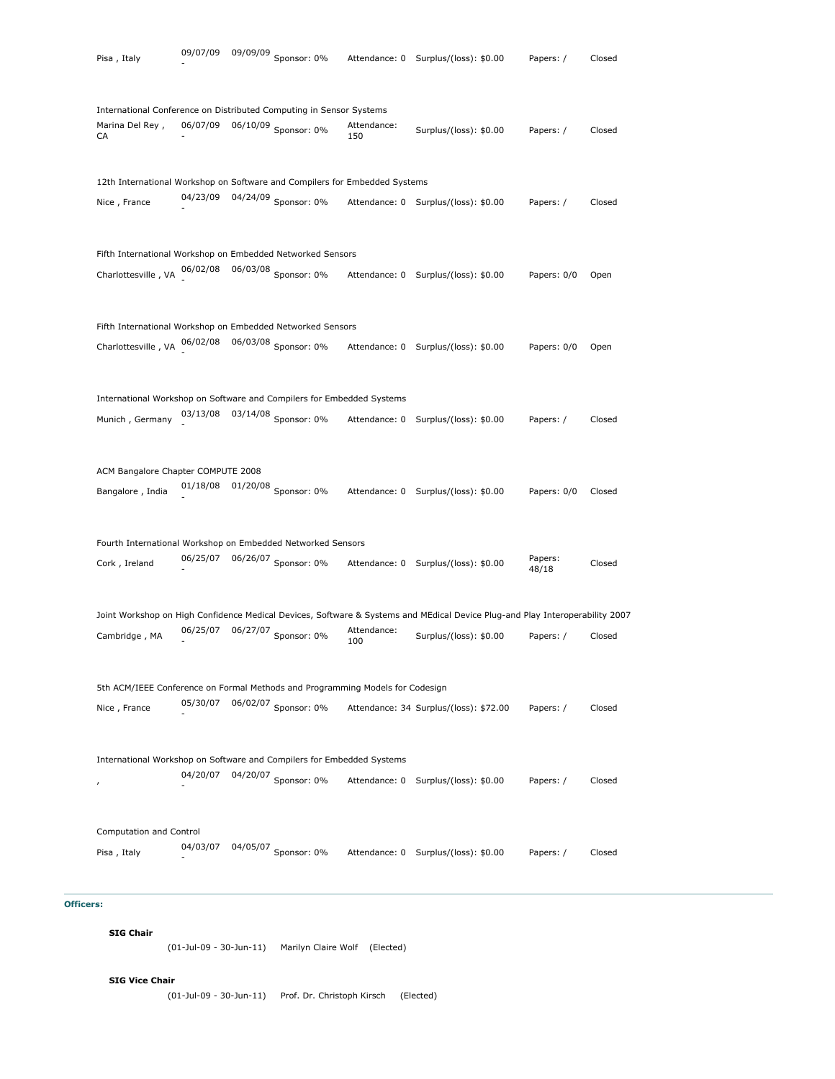| Pisa, Italy                        |          | 09/07/09 09/09/09 Sponsor: 0%                                                                        |                    | Attendance: 0 Surplus/(loss): \$0.00                                                                                         | Papers: /        | Closed |
|------------------------------------|----------|------------------------------------------------------------------------------------------------------|--------------------|------------------------------------------------------------------------------------------------------------------------------|------------------|--------|
|                                    |          |                                                                                                      |                    |                                                                                                                              |                  |        |
| Marina Del Rey,<br>CA              |          | International Conference on Distributed Computing in Sensor Systems<br>06/07/09 06/10/09 Sponsor: 0% | Attendance:<br>150 | Surplus/(loss): \$0.00                                                                                                       | Papers: /        | Closed |
|                                    |          | 12th International Workshop on Software and Compilers for Embedded Systems                           |                    |                                                                                                                              |                  |        |
| Nice, France                       |          | 04/23/09  04/24/09  Sponsor: 0%                                                                      |                    | Attendance: 0 Surplus/(loss): \$0.00                                                                                         | Papers: /        | Closed |
|                                    |          | Fifth International Workshop on Embedded Networked Sensors                                           |                    |                                                                                                                              |                  |        |
| Charlottesville, VA 06/02/08       |          | 06/03/08 Sponsor: 0%                                                                                 |                    | Attendance: 0 Surplus/(loss): \$0.00                                                                                         | Papers: 0/0      | Open   |
|                                    |          | Fifth International Workshop on Embedded Networked Sensors                                           |                    |                                                                                                                              |                  |        |
|                                    |          | Charlottesville, VA 06/02/08 06/03/08 Sponsor: 0%                                                    |                    | Attendance: 0 Surplus/(loss): \$0.00                                                                                         | Papers: 0/0      | Open   |
|                                    |          | International Workshop on Software and Compilers for Embedded Systems                                |                    |                                                                                                                              |                  |        |
| Munich, Germany                    | 03/13/08 | 03/14/08 Sponsor: 0%                                                                                 | Attendance: 0      | Surplus/(loss): \$0.00                                                                                                       | Papers: /        | Closed |
| ACM Bangalore Chapter COMPUTE 2008 |          |                                                                                                      |                    |                                                                                                                              |                  |        |
| Bangalore, India                   |          | 01/18/08  01/20/08  Sponsor: 0%                                                                      |                    | Attendance: 0 Surplus/(loss): \$0.00                                                                                         | Papers: 0/0      | Closed |
|                                    |          | Fourth International Workshop on Embedded Networked Sensors                                          |                    |                                                                                                                              |                  |        |
| Cork, Ireland                      |          | 06/25/07 06/26/07 Sponsor: 0%                                                                        |                    | Attendance: 0 Surplus/(loss): \$0.00                                                                                         | Papers:<br>48/18 | Closed |
|                                    |          |                                                                                                      |                    | Joint Workshop on High Confidence Medical Devices, Software & Systems and MEdical Device Plug-and Play Interoperability 2007 |                  |        |
| Cambridge, MA                      | 06/25/07 | 06/27/07 Sponsor: 0%                                                                                 | Attendance:<br>100 | Surplus/(loss): \$0.00                                                                                                       | Papers: /        | Closed |
|                                    |          | 5th ACM/IEEE Conference on Formal Methods and Programming Models for Codesign                        |                    |                                                                                                                              |                  |        |
| Nice, France                       | 05/30/07 | 06/02/07 Sponsor: 0%                                                                                 |                    | Attendance: 34 Surplus/(loss): \$72.00                                                                                       | Papers: /        | Closed |
|                                    |          | International Workshop on Software and Compilers for Embedded Systems                                |                    |                                                                                                                              |                  |        |
| $\pmb{r}$                          | 04/20/07 | 04/20/07 Sponsor: 0%                                                                                 | Attendance: 0      | Surplus/(loss): \$0.00                                                                                                       | Papers: /        | Closed |
| Computation and Control            |          |                                                                                                      |                    |                                                                                                                              |                  |        |
| Pisa, Italy                        | 04/03/07 | 04/05/07 Sponsor: 0%                                                                                 |                    | Attendance: 0 Surplus/(loss): \$0.00                                                                                         | Papers: /        | Closed |

# **Officers:**

**SIG Chair**

(01-Jul-09 - 30-Jun-11) Marilyn Claire Wolf (Elected)

**SIG Vice Chair**

(01-Jul-09 - 30-Jun-11) Prof. Dr. Christoph Kirsch (Elected)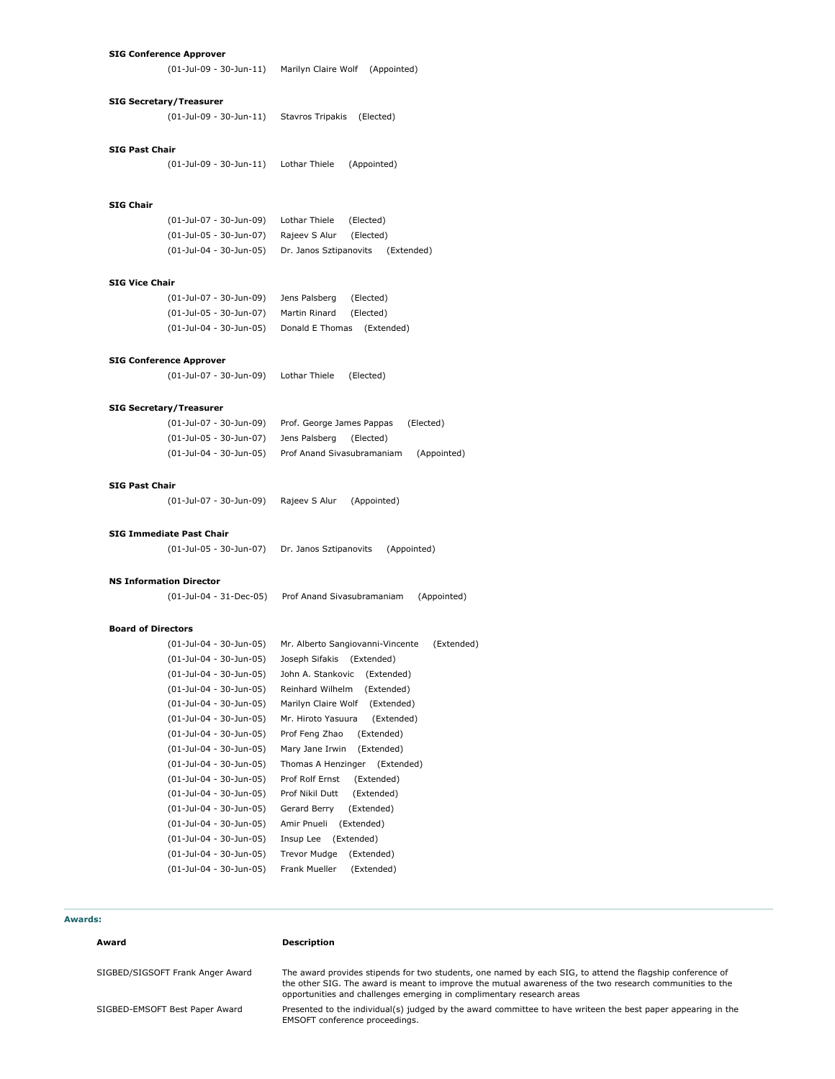### **SIG Conference Approver**

(01-Jul-09 - 30-Jun-11) Marilyn Claire Wolf (Appointed)

### **SIG Secretary/Treasurer**

(01-Jul-09 - 30-Jun-11) Stavros Tripakis (Elected)

## **SIG Past Chair**

(01-Jul-09 - 30-Jun-11) Lothar Thiele (Appointed)

# **SIG Chair**

(01-Jul-07 - 30-Jun-09) Lothar Thiele (Elected) (01-Jul-05 - 30-Jun-07) Rajeev S Alur (Elected) (01-Jul-04 - 30-Jun-05) Dr. Janos Sztipanovits (Extended)

# **SIG Vice Chair**

| (01-Jul-07 - 30-Jun-09) | Jens Palsberg | (Elected)                  |
|-------------------------|---------------|----------------------------|
| (01-Jul-05 - 30-Jun-07) | Martin Rinard | (Elected)                  |
| (01-Jul-04 - 30-Jun-05) |               | Donald E Thomas (Extended) |

### **SIG Conference Approver**

(01-Jul-07 - 30-Jun-09) Lothar Thiele (Elected)

#### **SIG Secretary/Treasurer**

| (01-Jul-07 - 30-Jun-09) | Prof. George James Pappas  | (Elected)   |
|-------------------------|----------------------------|-------------|
| (01-Jul-05 - 30-Jun-07) | Jens Palsberg<br>(Elected) |             |
| (01-Jul-04 - 30-Jun-05) | Prof Anand Sivasubramaniam | (Appointed) |

# **SIG Past Chair**

(01-Jul-07 - 30-Jun-09) Rajeev S Alur (Appointed)

## **SIG Immediate Past Chair**

| (01-Jul-05 - 30-Jun-07) | Dr. Janos Sztipanovits | (Appointed) |
|-------------------------|------------------------|-------------|
|-------------------------|------------------------|-------------|

#### **NS Information Director**

(01-Jul-04 - 31-Dec-05) Prof Anand Sivasubramaniam (Appointed)

### **Board of Directors**

| (01-Jul-04 - 30-Jun-05) | Mr. Alberto Sangiovanni-Vincente | (Extended) |
|-------------------------|----------------------------------|------------|
| (01-Jul-04 - 30-Jun-05) | Joseph Sifakis (Extended)        |            |
| (01-Jul-04 - 30-Jun-05) | John A. Stankovic<br>(Extended)  |            |
| (01-Jul-04 - 30-Jun-05) | Reinhard Wilhelm<br>(Extended)   |            |
| (01-Jul-04 - 30-Jun-05) | Marilyn Claire Wolf (Extended)   |            |
| (01-Jul-04 - 30-Jun-05) | (Extended)<br>Mr. Hiroto Yasuura |            |
| (01-Jul-04 - 30-Jun-05) | (Extended)<br>Prof Feng Zhao     |            |
| (01-Jul-04 - 30-Jun-05) | Mary Jane Irwin<br>(Extended)    |            |
| (01-Jul-04 - 30-Jun-05) | Thomas A Henzinger (Extended)    |            |
| (01-Jul-04 - 30-Jun-05) | Prof Rolf Ernst<br>(Extended)    |            |
| (01-Jul-04 - 30-Jun-05) | (Extended)<br>Prof Nikil Dutt    |            |
| (01-Jul-04 - 30-Jun-05) | Gerard Berry<br>(Extended)       |            |
| (01-Jul-04 - 30-Jun-05) | Amir Pnueli<br>(Extended)        |            |
| (01-Jul-04 - 30-Jun-05) | Insup Lee (Extended)             |            |
| (01-Jul-04 - 30-Jun-05) | Trevor Mudge<br>(Extended)       |            |
| (01-Jul-04 - 30-Jun-05) | Frank Mueller<br>(Extended)      |            |

# **Awards:**

### **Award Description**

SIGBED/SIGSOFT Frank Anger Award The award provides stipends for two students, one named by each SIG, to attend the flagship conference of the other SIG. The award is meant to improve the mutual awareness of the two research communities to the opportunities and challenges emerging in complimentary research areas

SIGBED-EMSOFT Best Paper Award Presented to the individual(s) judged by the award committee to have writeen the best paper appearing in the EMSOFT conference proceedings.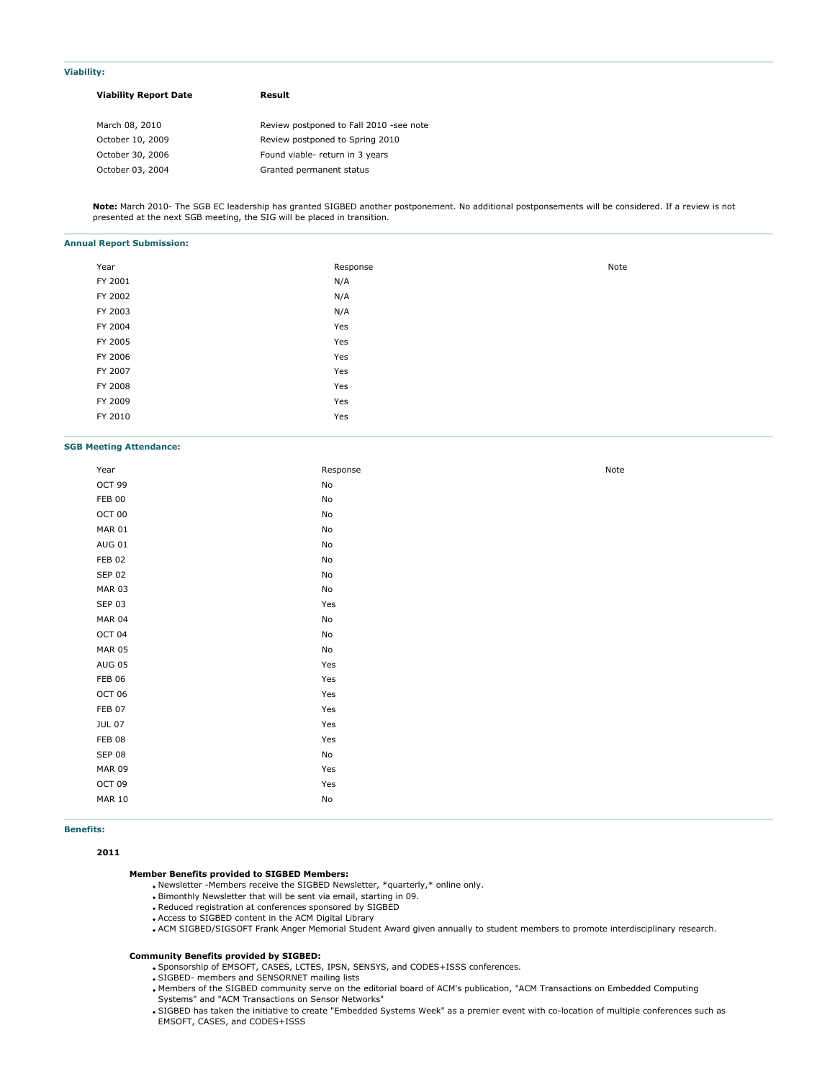#### **Viability:**

| <b>Viability Report Date</b> | Result                                  |  |  |
|------------------------------|-----------------------------------------|--|--|
| March 08, 2010               | Review postponed to Fall 2010 -see note |  |  |
| October 10, 2009             | Review postponed to Spring 2010         |  |  |
| October 30, 2006             | Found viable- return in 3 years         |  |  |
| October 03, 2004             | Granted permanent status                |  |  |

**Note:** March 2010- The SGB EC leadership has granted SIGBED another postponement. No additional postponsements will be considered. If a review is not presented at the next SGB meeting, the SIG will be placed in transition.

#### **Annual Report Submission:**

| Year    | Response | Note |
|---------|----------|------|
| FY 2001 | N/A      |      |
| FY 2002 | N/A      |      |
| FY 2003 | N/A      |      |
| FY 2004 | Yes      |      |
| FY 2005 | Yes      |      |
| FY 2006 | Yes      |      |
| FY 2007 | Yes      |      |
| FY 2008 | Yes      |      |
| FY 2009 | Yes      |      |
| FY 2010 | Yes      |      |
|         |          |      |

### **SGB Meeting Attendance:**

| Year          | Response                     | Note |
|---------------|------------------------------|------|
| OCT 99        | No                           |      |
| <b>FEB 00</b> | No                           |      |
| OCT 00        | $\operatorname{\mathsf{No}}$ |      |
| <b>MAR 01</b> | No                           |      |
| <b>AUG 01</b> | $\operatorname{\mathsf{No}}$ |      |
| <b>FEB 02</b> | No                           |      |
| <b>SEP 02</b> | No                           |      |
| <b>MAR 03</b> | No                           |      |
| <b>SEP 03</b> | Yes                          |      |
| <b>MAR 04</b> | $\operatorname{\mathsf{No}}$ |      |
| OCT 04        | No                           |      |
| <b>MAR 05</b> | $\operatorname{\mathsf{No}}$ |      |
| <b>AUG 05</b> | Yes                          |      |
| <b>FEB 06</b> | Yes                          |      |
| OCT 06        | Yes                          |      |
| FEB 07        | Yes                          |      |
| <b>JUL 07</b> | Yes                          |      |
| <b>FEB 08</b> | Yes                          |      |
| <b>SEP 08</b> | $\operatorname{\mathsf{No}}$ |      |
| <b>MAR 09</b> | Yes                          |      |
| OCT 09        | Yes                          |      |
| <b>MAR 10</b> | No                           |      |
|               |                              |      |

**Benefits:**

**2011**

### **Member Benefits provided to SIGBED Members:**

Newsletter -Members receive the SIGBED Newsletter, \*quarterly,\* online only.

- Bimonthly Newsletter that will be sent via email, starting in 09.
- Reduced registration at conferences sponsored by SIGBED
- Access to SIGBED content in the ACM Digital Library

. ACM SIGBED/SIGSOFT Frank Anger Memorial Student Award given annually to student members to promote interdisciplinary research.

#### **Community Benefits provided by SIGBED:**

- Sponsorship of EMSOFT, CASES, LCTES, IPSN, SENSYS, and CODES+ISSS conferences.
- SIGBED- members and SENSORNET mailing lists
- Members of the SIGBED community serve on the editorial board of ACM's publication, "ACM Transactions on Embedded Computing Systems" and "ACM Transactions on Sensor Networks"
- SIGBED has taken the initiative to create "Embedded Systems Week" as a premier event with co-location of multiple conferences such as EMSOFT, CASES, and CODES+ISSS